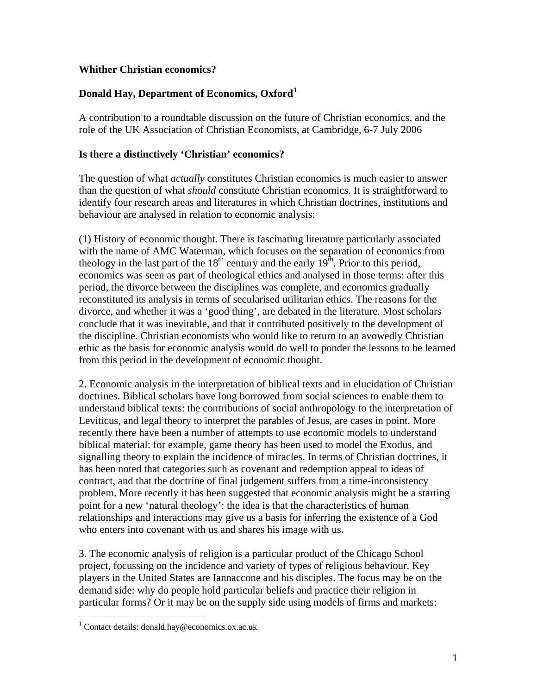## **Whither Christian economics?**

# **Donald Hay, Department of Economics, Oxford[1](#page-0-0)**

A contribution to a roundtable discussion on the future of Christian economics, and the role of the UK Association of Christian Economists, at Cambridge, 6-7 July 2006

## **Is there a distinctively 'Christian' economics?**

The question of what *actually* constitutes Christian economics is much easier to answer than the question of what *should* constitute Christian economics. It is straightforward to identify four research areas and literatures in which Christian doctrines, institutions and behaviour are analysed in relation to economic analysis:

(1) History of economic thought. There is fascinating literature particularly associated with the name of AMC Waterman, which focuses on the separation of economics from theology in the last part of the  $18<sup>th</sup>$  century and the early  $19<sup>th</sup>$ . Prior to this period, economics was seen as part of theological ethics and analysed in those terms: after this period, the divorce between the disciplines was complete, and economics gradually reconstituted its analysis in terms of secularised utilitarian ethics. The reasons for the divorce, and whether it was a 'good thing', are debated in the literature. Most scholars conclude that it was inevitable, and that it contributed positively to the development of the discipline. Christian economists who would like to return to an avowedly Christian ethic as the basis for economic analysis would do well to ponder the lessons to be learned from this period in the development of economic thought.

2. Economic analysis in the interpretation of biblical texts and in elucidation of Christian doctrines. Biblical scholars have long borrowed from social sciences to enable them to understand biblical texts: the contributions of social anthropology to the interpretation of Leviticus, and legal theory to interpret the parables of Jesus, are cases in point. More recently there have been a number of attempts to use economic models to understand biblical material: for example, game theory has been used to model the Exodus, and signalling theory to explain the incidence of miracles. In terms of Christian doctrines, it has been noted that categories such as covenant and redemption appeal to ideas of contract, and that the doctrine of final judgement suffers from a time-inconsistency problem. More recently it has been suggested that economic analysis might be a starting point for a new 'natural theology': the idea is that the characteristics of human relationships and interactions may give us a basis for inferring the existence of a God who enters into covenant with us and shares his image with us.

3. The economic analysis of religion is a particular product of the Chicago School project, focussing on the incidence and variety of types of religious behaviour. Key players in the United States are Iannaccone and his disciples. The focus may be on the demand side: why do people hold particular beliefs and practice their religion in particular forms? Or it may be on the supply side using models of firms and markets:

 $\overline{a}$ 

<span id="page-0-0"></span><sup>&</sup>lt;sup>1</sup> Contact details: donald.hay@economics.ox.ac.uk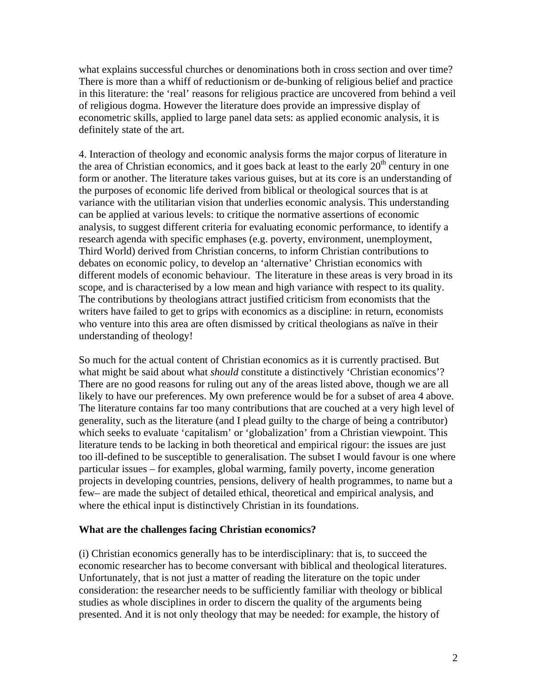what explains successful churches or denominations both in cross section and over time? There is more than a whiff of reductionism or de-bunking of religious belief and practice in this literature: the 'real' reasons for religious practice are uncovered from behind a veil of religious dogma. However the literature does provide an impressive display of econometric skills, applied to large panel data sets: as applied economic analysis, it is definitely state of the art.

4. Interaction of theology and economic analysis forms the major corpus of literature in the area of Christian economics, and it goes back at least to the early  $20<sup>th</sup>$  century in one form or another. The literature takes various guises, but at its core is an understanding of the purposes of economic life derived from biblical or theological sources that is at variance with the utilitarian vision that underlies economic analysis. This understanding can be applied at various levels: to critique the normative assertions of economic analysis, to suggest different criteria for evaluating economic performance, to identify a research agenda with specific emphases (e.g. poverty, environment, unemployment, Third World) derived from Christian concerns, to inform Christian contributions to debates on economic policy, to develop an 'alternative' Christian economics with different models of economic behaviour. The literature in these areas is very broad in its scope, and is characterised by a low mean and high variance with respect to its quality. The contributions by theologians attract justified criticism from economists that the writers have failed to get to grips with economics as a discipline: in return, economists who venture into this area are often dismissed by critical theologians as naïve in their understanding of theology!

So much for the actual content of Christian economics as it is currently practised. But what might be said about what *should* constitute a distinctively 'Christian economics'? There are no good reasons for ruling out any of the areas listed above, though we are all likely to have our preferences. My own preference would be for a subset of area 4 above. The literature contains far too many contributions that are couched at a very high level of generality, such as the literature (and I plead guilty to the charge of being a contributor) which seeks to evaluate 'capitalism' or 'globalization' from a Christian viewpoint. This literature tends to be lacking in both theoretical and empirical rigour: the issues are just too ill-defined to be susceptible to generalisation. The subset I would favour is one where particular issues – for examples, global warming, family poverty, income generation projects in developing countries, pensions, delivery of health programmes, to name but a few– are made the subject of detailed ethical, theoretical and empirical analysis, and where the ethical input is distinctively Christian in its foundations.

#### **What are the challenges facing Christian economics?**

(i) Christian economics generally has to be interdisciplinary: that is, to succeed the economic researcher has to become conversant with biblical and theological literatures. Unfortunately, that is not just a matter of reading the literature on the topic under consideration: the researcher needs to be sufficiently familiar with theology or biblical studies as whole disciplines in order to discern the quality of the arguments being presented. And it is not only theology that may be needed: for example, the history of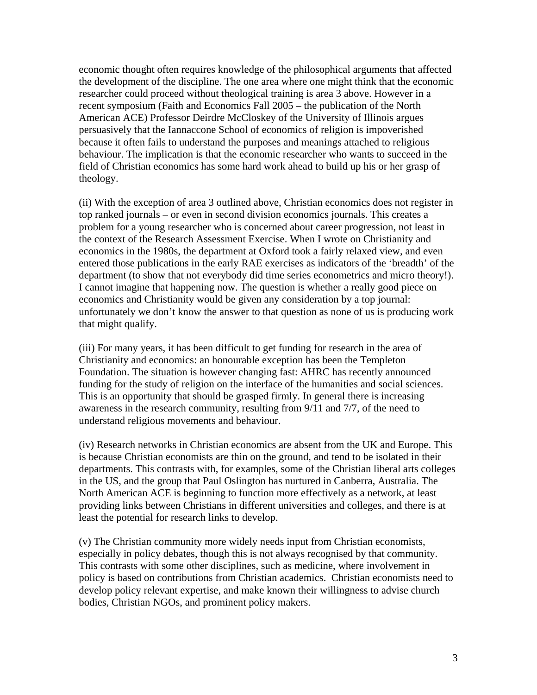economic thought often requires knowledge of the philosophical arguments that affected the development of the discipline. The one area where one might think that the economic researcher could proceed without theological training is area 3 above. However in a recent symposium (Faith and Economics Fall 2005 – the publication of the North American ACE) Professor Deirdre McCloskey of the University of Illinois argues persuasively that the Iannaccone School of economics of religion is impoverished because it often fails to understand the purposes and meanings attached to religious behaviour. The implication is that the economic researcher who wants to succeed in the field of Christian economics has some hard work ahead to build up his or her grasp of theology.

(ii) With the exception of area 3 outlined above, Christian economics does not register in top ranked journals – or even in second division economics journals. This creates a problem for a young researcher who is concerned about career progression, not least in the context of the Research Assessment Exercise. When I wrote on Christianity and economics in the 1980s, the department at Oxford took a fairly relaxed view, and even entered those publications in the early RAE exercises as indicators of the 'breadth' of the department (to show that not everybody did time series econometrics and micro theory!). I cannot imagine that happening now. The question is whether a really good piece on economics and Christianity would be given any consideration by a top journal: unfortunately we don't know the answer to that question as none of us is producing work that might qualify.

(iii) For many years, it has been difficult to get funding for research in the area of Christianity and economics: an honourable exception has been the Templeton Foundation. The situation is however changing fast: AHRC has recently announced funding for the study of religion on the interface of the humanities and social sciences. This is an opportunity that should be grasped firmly. In general there is increasing awareness in the research community, resulting from 9/11 and 7/7, of the need to understand religious movements and behaviour.

(iv) Research networks in Christian economics are absent from the UK and Europe. This is because Christian economists are thin on the ground, and tend to be isolated in their departments. This contrasts with, for examples, some of the Christian liberal arts colleges in the US, and the group that Paul Oslington has nurtured in Canberra, Australia. The North American ACE is beginning to function more effectively as a network, at least providing links between Christians in different universities and colleges, and there is at least the potential for research links to develop.

(v) The Christian community more widely needs input from Christian economists, especially in policy debates, though this is not always recognised by that community. This contrasts with some other disciplines, such as medicine, where involvement in policy is based on contributions from Christian academics. Christian economists need to develop policy relevant expertise, and make known their willingness to advise church bodies, Christian NGOs, and prominent policy makers.